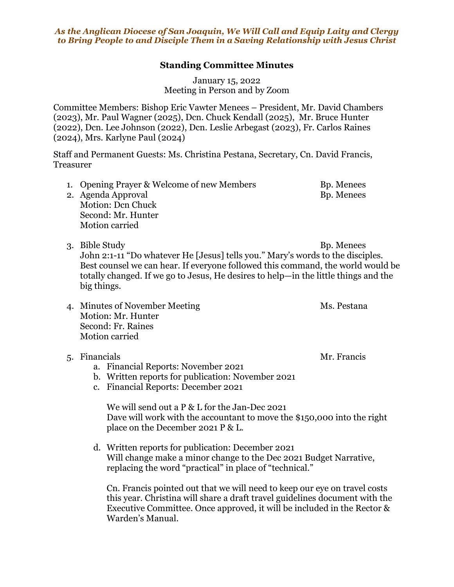*As the Anglican Diocese of San Joaquin, We Will Call and Equip Laity and Clergy to Bring People to and Disciple Them in a Saving Relationship with Jesus Christ*

## **Standing Committee Minutes**

January 15, 2022 Meeting in Person and by Zoom

Committee Members: Bishop Eric Vawter Menees – President, Mr. David Chambers (2023), Mr. Paul Wagner (2025), Dcn. Chuck Kendall (2025), Mr. Bruce Hunter (2022), Dcn. Lee Johnson (2022), Dcn. Leslie Arbegast (2023), Fr. Carlos Raines (2024), Mrs. Karlyne Paul (2024)

Staff and Permanent Guests: Ms. Christina Pestana, Secretary, Cn. David Francis, Treasurer

- 1. Opening Prayer & Welcome of new Members Bp. Menees 2. Agenda Approval and Bp. Menees
- Motion: Dcn Chuck Second: Mr. Hunter Motion carried
- 3. Bible Study Bp. Menees John 2:1-11 "Do whatever He [Jesus] tells you." Mary's words to the disciples. Best counsel we can hear. If everyone followed this command, the world would be totally changed. If we go to Jesus, He desires to help—in the little things and the big things.
- 4. Minutes of November Meeting Ms. Pestana Motion: Mr. Hunter Second: Fr. Raines Motion carried

## 5. Financials Mr. Francis

- a. Financial Reports: November 2021
- b. Written reports for publication: November 2021
- c. Financial Reports: December 2021

We will send out a P & L for the Jan-Dec 2021 Dave will work with the accountant to move the \$150,000 into the right place on the December 2021 P & L.

d. Written reports for publication: December 2021 Will change make a minor change to the Dec 2021 Budget Narrative, replacing the word "practical" in place of "technical."

Cn. Francis pointed out that we will need to keep our eye on travel costs this year. Christina will share a draft travel guidelines document with the Executive Committee. Once approved, it will be included in the Rector & Warden's Manual.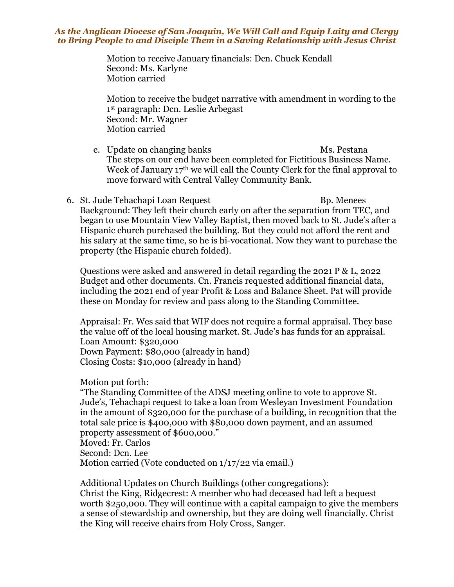## *As the Anglican Diocese of San Joaquin, We Will Call and Equip Laity and Clergy to Bring People to and Disciple Them in a Saving Relationship with Jesus Christ*

Motion to receive January financials: Dcn. Chuck Kendall Second: Ms. Karlyne Motion carried

Motion to receive the budget narrative with amendment in wording to the 1st paragraph: Dcn. Leslie Arbegast Second: Mr. Wagner Motion carried

- e. Update on changing banks Ms. Pestana The steps on our end have been completed for Fictitious Business Name. Week of January 17<sup>th</sup> we will call the County Clerk for the final approval to move forward with Central Valley Community Bank.
- 6. St. Jude Tehachapi Loan Request Bp. Menees Background: They left their church early on after the separation from TEC, and began to use Mountain View Valley Baptist, then moved back to St. Jude's after a Hispanic church purchased the building. But they could not afford the rent and his salary at the same time, so he is bi-vocational. Now they want to purchase the property (the Hispanic church folded).

Questions were asked and answered in detail regarding the 2021 P & L, 2022 Budget and other documents. Cn. Francis requested additional financial data, including the 2021 end of year Profit & Loss and Balance Sheet. Pat will provide these on Monday for review and pass along to the Standing Committee.

Appraisal: Fr. Wes said that WIF does not require a formal appraisal. They base the value off of the local housing market. St. Jude's has funds for an appraisal. Loan Amount: \$320,000 Down Payment: \$80,000 (already in hand) Closing Costs: \$10,000 (already in hand)

Motion put forth:

"The Standing Committee of the ADSJ meeting online to vote to approve St. Jude's, Tehachapi request to take a loan from Wesleyan Investment Foundation in the amount of \$320,000 for the purchase of a building, in recognition that the total sale price is \$400,000 with \$80,000 down payment, and an assumed property assessment of \$600,000." Moved: Fr. Carlos

Second: Dcn. Lee

Motion carried (Vote conducted on 1/17/22 via email.)

Additional Updates on Church Buildings (other congregations): Christ the King, Ridgecrest: A member who had deceased had left a bequest worth \$250,000. They will continue with a capital campaign to give the members a sense of stewardship and ownership, but they are doing well financially. Christ the King will receive chairs from Holy Cross, Sanger.